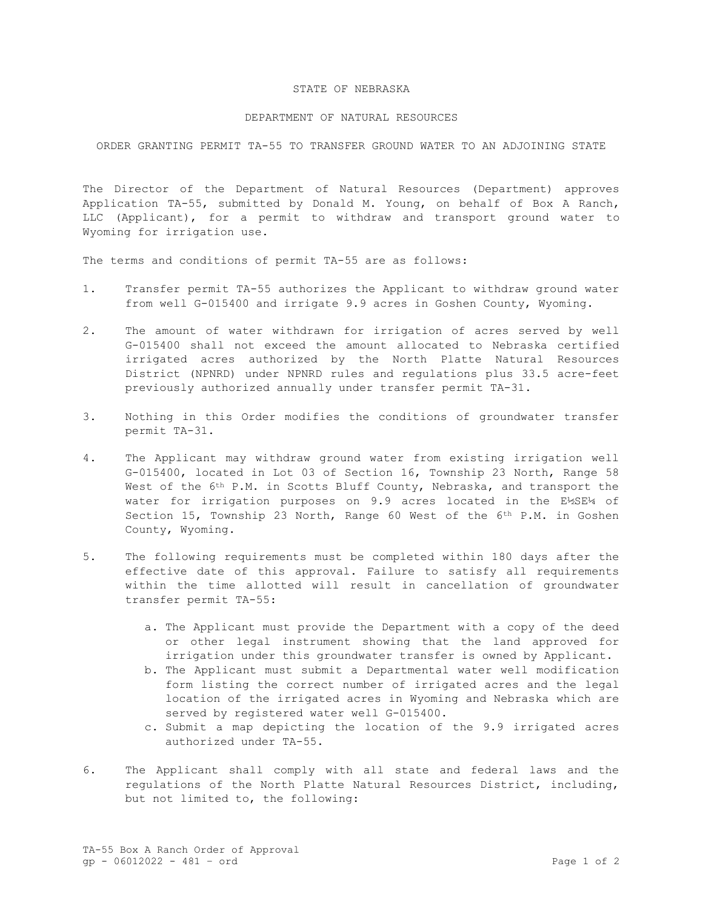## STATE OF NEBRASKA

## DEPARTMENT OF NATURAL RESOURCES

ORDER GRANTING PERMIT TA-55 TO TRANSFER GROUND WATER TO AN ADJOINING STATE

The Director of the Department of Natural Resources (Department) approves Application TA-55, submitted by Donald M. Young, on behalf of Box A Ranch, LLC (Applicant), for a permit to withdraw and transport ground water to Wyoming for irrigation use.

The terms and conditions of permit TA-55 are as follows:

- 1. Transfer permit TA-55 authorizes the Applicant to withdraw ground water from well G-015400 and irrigate 9.9 acres in Goshen County, Wyoming.
- 2. The amount of water withdrawn for irrigation of acres served by well G-015400 shall not exceed the amount allocated to Nebraska certified irrigated acres authorized by the North Platte Natural Resources District (NPNRD) under NPNRD rules and regulations plus 33.5 acre-feet previously authorized annually under transfer permit TA-31.
- 3. Nothing in this Order modifies the conditions of groundwater transfer permit TA-31.
- 4. The Applicant may withdraw ground water from existing irrigation well G-015400, located in Lot 03 of Section 16, Township 23 North, Range 58 West of the 6<sup>th</sup> P.M. in Scotts Bluff County, Nebraska, and transport the water for irrigation purposes on 9.9 acres located in the E½SE¼ of Section 15, Township 23 North, Range 60 West of the 6th P.M. in Goshen County, Wyoming.
- 5. The following requirements must be completed within 180 days after the effective date of this approval. Failure to satisfy all requirements within the time allotted will result in cancellation of groundwater transfer permit TA-55:
	- a. The Applicant must provide the Department with a copy of the deed or other legal instrument showing that the land approved for irrigation under this groundwater transfer is owned by Applicant.
	- b. The Applicant must submit a Departmental water well modification form listing the correct number of irrigated acres and the legal location of the irrigated acres in Wyoming and Nebraska which are served by registered water well G-015400.
	- c. Submit a map depicting the location of the 9.9 irrigated acres authorized under TA-55.
- 6. The Applicant shall comply with all state and federal laws and the regulations of the North Platte Natural Resources District, including, but not limited to, the following: